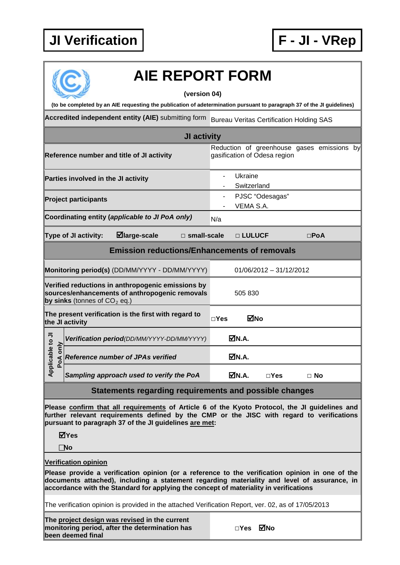

| <b>AIE REPORT FORM</b>                                                                                                                |                                                                                                                                                                                                                                                                                         |            |                        |                              |               |                                            |  |
|---------------------------------------------------------------------------------------------------------------------------------------|-----------------------------------------------------------------------------------------------------------------------------------------------------------------------------------------------------------------------------------------------------------------------------------------|------------|------------------------|------------------------------|---------------|--------------------------------------------|--|
|                                                                                                                                       | (version 04)<br>(to be completed by an AIE requesting the publication of adetermination pursuant to paragraph 37 of the JI guidelines)                                                                                                                                                  |            |                        |                              |               |                                            |  |
| Accredited independent entity (AIE) submitting form<br><b>Bureau Veritas Certification Holding SAS</b>                                |                                                                                                                                                                                                                                                                                         |            |                        |                              |               |                                            |  |
| JI activity                                                                                                                           |                                                                                                                                                                                                                                                                                         |            |                        |                              |               |                                            |  |
| Reference number and title of JI activity                                                                                             |                                                                                                                                                                                                                                                                                         |            |                        | gasification of Odesa region |               | Reduction of greenhouse gases emissions by |  |
| Parties involved in the JI activity                                                                                                   |                                                                                                                                                                                                                                                                                         |            | Ukraine<br>Switzerland |                              |               |                                            |  |
| <b>Project participants</b>                                                                                                           |                                                                                                                                                                                                                                                                                         |            | VEMA S.A.              | PJSC "Odesagas"              |               |                                            |  |
|                                                                                                                                       | Coordinating entity (applicable to JI PoA only)                                                                                                                                                                                                                                         | N/a        |                        |                              |               |                                            |  |
| ⊠large-scale<br>Type of JI activity:<br>$\square$ small-scale                                                                         |                                                                                                                                                                                                                                                                                         |            | □ LULUCF               |                              | $\square$ PoA |                                            |  |
|                                                                                                                                       | <b>Emission reductions/Enhancements of removals</b>                                                                                                                                                                                                                                     |            |                        |                              |               |                                            |  |
| Monitoring period(s) (DD/MM/YYYY - DD/MM/YYYY)                                                                                        |                                                                                                                                                                                                                                                                                         |            |                        | $01/06/2012 - 31/12/2012$    |               |                                            |  |
| Verified reductions in anthropogenic emissions by<br>sources/enhancements of anthropogenic removals<br>by sinks (tonnes of $CO2$ eq.) |                                                                                                                                                                                                                                                                                         |            | 505 830                |                              |               |                                            |  |
| The present verification is the first with regard to<br>the JI activity                                                               |                                                                                                                                                                                                                                                                                         | $\Box$ Yes | ⊠No                    |                              |               |                                            |  |
|                                                                                                                                       | Verification period(DD/MM/YYYY-DD/MM/YYYY)                                                                                                                                                                                                                                              |            | MN.A.                  |                              |               |                                            |  |
| able to JI<br>only<br><u>ಒ</u>                                                                                                        | $\triangleleft$ Reference number of JPAs verified                                                                                                                                                                                                                                       | MN.A.      |                        |                              |               |                                            |  |
| Applic                                                                                                                                | Sampling approach used to verify the PoA                                                                                                                                                                                                                                                |            | MN.A.                  | $\Box$ Yes                   | $\Box$ No     |                                            |  |
|                                                                                                                                       | Statements regarding requirements and possible changes                                                                                                                                                                                                                                  |            |                        |                              |               |                                            |  |
|                                                                                                                                       | Please confirm that all requirements of Article 6 of the Kyoto Protocol, the JI guidelines and<br>further relevant requirements defined by the CMP or the JISC with regard to verifications<br>pursuant to paragraph 37 of the JI guidelines are met:<br>⊠Yes<br>$\Box$ No              |            |                        |                              |               |                                            |  |
|                                                                                                                                       | <b>Verification opinion</b>                                                                                                                                                                                                                                                             |            |                        |                              |               |                                            |  |
|                                                                                                                                       | Please provide a verification opinion (or a reference to the verification opinion in one of the<br>documents attached), including a statement regarding materiality and level of assurance, in<br>accordance with the Standard for applying the concept of materiality in verifications |            |                        |                              |               |                                            |  |
| The verification opinion is provided in the attached Verification Report, ver. 02, as of 17/05/2013                                   |                                                                                                                                                                                                                                                                                         |            |                        |                              |               |                                            |  |
| The project design was revised in the current<br>monitoring period, after the determination has<br>been deemed final                  |                                                                                                                                                                                                                                                                                         |            | $\square$ Yes          | ⊠No                          |               |                                            |  |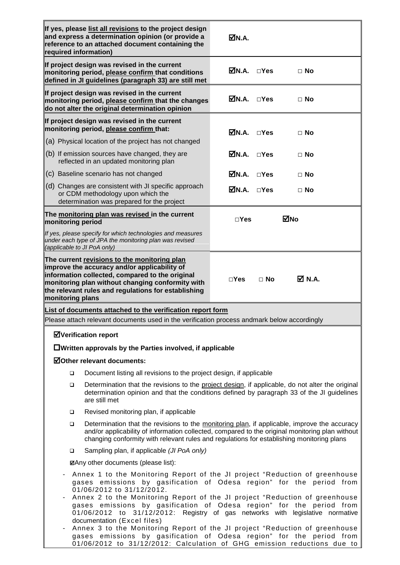| required information)                                                                                                                                                                                                                                                                                                                                                                                                                                                                                                                                                                                          | If yes, please list all revisions to the project design<br>and express a determination opinion (or provide a<br>reference to an attached document containing the                                                                                                                             | ØN.A.                                      |            |           |  |  |  |
|----------------------------------------------------------------------------------------------------------------------------------------------------------------------------------------------------------------------------------------------------------------------------------------------------------------------------------------------------------------------------------------------------------------------------------------------------------------------------------------------------------------------------------------------------------------------------------------------------------------|----------------------------------------------------------------------------------------------------------------------------------------------------------------------------------------------------------------------------------------------------------------------------------------------|--------------------------------------------|------------|-----------|--|--|--|
|                                                                                                                                                                                                                                                                                                                                                                                                                                                                                                                                                                                                                | If project design was revised in the current<br>monitoring period, please confirm that conditions<br>defined in JI guidelines (paragraph 33) are still met                                                                                                                                   | $\overline{\mathbf{M}}$ N.A. $\square$ Yes |            | $\Box$ No |  |  |  |
|                                                                                                                                                                                                                                                                                                                                                                                                                                                                                                                                                                                                                | If project design was revised in the current<br>monitoring period, please confirm that the changes<br>do not alter the original determination opinion                                                                                                                                        | M.A.                                       | $\Box$ Yes | $\Box$ No |  |  |  |
|                                                                                                                                                                                                                                                                                                                                                                                                                                                                                                                                                                                                                | If project design was revised in the current<br>monitoring period, please confirm that:<br>$\overline{\mathsf{M}}$ N.A. $\square$ Yes<br>$\Box$ No                                                                                                                                           |                                            |            |           |  |  |  |
|                                                                                                                                                                                                                                                                                                                                                                                                                                                                                                                                                                                                                | (a) Physical location of the project has not changed                                                                                                                                                                                                                                         |                                            |            |           |  |  |  |
|                                                                                                                                                                                                                                                                                                                                                                                                                                                                                                                                                                                                                | (b) If emission sources have changed, they are<br>reflected in an updated monitoring plan                                                                                                                                                                                                    | $\overline{\mathbf{M}}$ N.A. $\Box$ Yes    |            | $\Box$ No |  |  |  |
|                                                                                                                                                                                                                                                                                                                                                                                                                                                                                                                                                                                                                | (c) Baseline scenario has not changed                                                                                                                                                                                                                                                        | $\overline{\mathsf{M}}$ N.A. $\square$ Yes |            | $\Box$ No |  |  |  |
|                                                                                                                                                                                                                                                                                                                                                                                                                                                                                                                                                                                                                | (d) Changes are consistent with JI specific approach<br>or CDM methodology upon which the<br>determination was prepared for the project                                                                                                                                                      | $\overline{\mathbf{M}}$ N.A. $\square$ Yes |            | $\Box$ No |  |  |  |
| monitoring period                                                                                                                                                                                                                                                                                                                                                                                                                                                                                                                                                                                              | The monitoring plan was revised in the current                                                                                                                                                                                                                                               | $\square$ Yes                              |            | ⊠No       |  |  |  |
| (applicable to JI PoA only)                                                                                                                                                                                                                                                                                                                                                                                                                                                                                                                                                                                    | If yes, please specify for which technologies and measures<br>under each type of JPA the monitoring plan was revised                                                                                                                                                                         |                                            |            |           |  |  |  |
| monitoring plans                                                                                                                                                                                                                                                                                                                                                                                                                                                                                                                                                                                               | The current revisions to the monitoring plan<br>improve the accuracy and/or applicability of<br>information collected, compared to the original<br>monitoring plan without changing conformity with<br>the relevant rules and regulations for establishing                                   | $\square$ Yes                              | $\Box$ No  | M N.A.    |  |  |  |
|                                                                                                                                                                                                                                                                                                                                                                                                                                                                                                                                                                                                                | List of documents attached to the verification report form                                                                                                                                                                                                                                   |                                            |            |           |  |  |  |
|                                                                                                                                                                                                                                                                                                                                                                                                                                                                                                                                                                                                                | Please attach relevant documents used in the verification process andmark below accordingly                                                                                                                                                                                                  |                                            |            |           |  |  |  |
|                                                                                                                                                                                                                                                                                                                                                                                                                                                                                                                                                                                                                | <b>ØVerification report</b>                                                                                                                                                                                                                                                                  |                                            |            |           |  |  |  |
|                                                                                                                                                                                                                                                                                                                                                                                                                                                                                                                                                                                                                | $\Box$ Written approvals by the Parties involved, if applicable                                                                                                                                                                                                                              |                                            |            |           |  |  |  |
|                                                                                                                                                                                                                                                                                                                                                                                                                                                                                                                                                                                                                | <b>ØOther relevant documents:</b>                                                                                                                                                                                                                                                            |                                            |            |           |  |  |  |
| $\Box$                                                                                                                                                                                                                                                                                                                                                                                                                                                                                                                                                                                                         | Document listing all revisions to the project design, if applicable                                                                                                                                                                                                                          |                                            |            |           |  |  |  |
| □                                                                                                                                                                                                                                                                                                                                                                                                                                                                                                                                                                                                              | Determination that the revisions to the project design, if applicable, do not alter the original<br>determination opinion and that the conditions defined by paragraph 33 of the JI guidelines<br>are still met                                                                              |                                            |            |           |  |  |  |
| □                                                                                                                                                                                                                                                                                                                                                                                                                                                                                                                                                                                                              | Revised monitoring plan, if applicable                                                                                                                                                                                                                                                       |                                            |            |           |  |  |  |
| □                                                                                                                                                                                                                                                                                                                                                                                                                                                                                                                                                                                                              | Determination that the revisions to the monitoring plan, if applicable, improve the accuracy<br>and/or applicability of information collected, compared to the original monitoring plan without<br>changing conformity with relevant rules and regulations for establishing monitoring plans |                                            |            |           |  |  |  |
| $\Box$                                                                                                                                                                                                                                                                                                                                                                                                                                                                                                                                                                                                         | Sampling plan, if applicable (JI PoA only)                                                                                                                                                                                                                                                   |                                            |            |           |  |  |  |
|                                                                                                                                                                                                                                                                                                                                                                                                                                                                                                                                                                                                                | <b>ØAny other documents (please list):</b>                                                                                                                                                                                                                                                   |                                            |            |           |  |  |  |
| Annex 1 to the Monitoring Report of the JI project "Reduction of greenhouse<br>gases emissions by gasification of Odesa region" for the period from<br>01/06/2012 to 31/12/2012.<br>Annex 2 to the Monitoring Report of the JI project "Reduction of greenhouse<br>gases emissions by gasification of Odesa region" for the period from<br>01/06/2012 to 31/12/2012: Registry of gas networks with legislative normative<br>documentation (Excel files)<br>Annex 3 to the Monitoring Report of the JI project "Reduction of greenhouse<br>gases emissions by gasification of Odesa region" for the period from |                                                                                                                                                                                                                                                                                              |                                            |            |           |  |  |  |

01/06/2012 to 31/12/2012: Calculation of GHG emission reductions due to